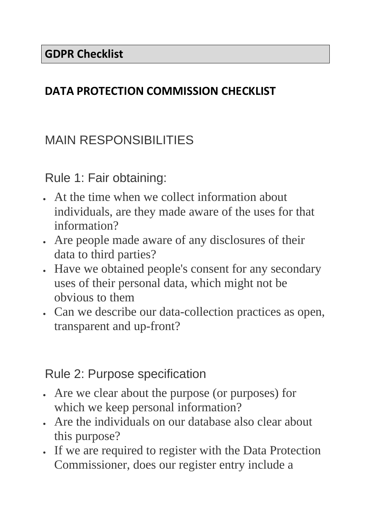#### **DATA PROTECTION COMMISSION CHECKLIST**

# MAIN RESPONSIBILITIES

Rule 1: Fair obtaining:

- At the time when we collect information about individuals, are they made aware of the uses for that information?
- Are people made aware of any disclosures of their data to third parties?
- Have we obtained people's consent for any secondary uses of their personal data, which might not be obvious to them
- Can we describe our data-collection practices as open, transparent and up-front?

#### Rule 2: Purpose specification

- Are we clear about the purpose (or purposes) for which we keep personal information?
- Are the individuals on our database also clear about this purpose?
- If we are required to register with the Data Protection Commissioner, does our register entry include a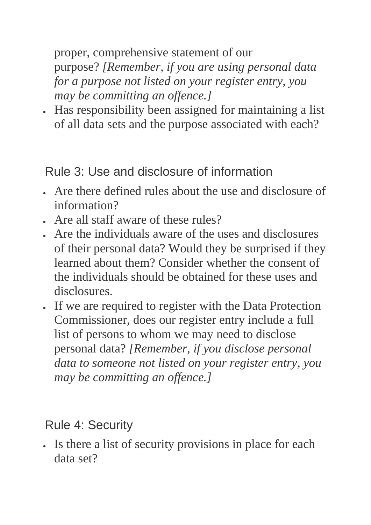proper, comprehensive statement of our purpose? *[Remember, if you are using personal data for a purpose not listed on your register entry, you may be committing an offence.]*

• Has responsibility been assigned for maintaining a list of all data sets and the purpose associated with each?

Rule 3: Use and disclosure of information

- Are there defined rules about the use and disclosure of information?
- Are all staff aware of these rules?
- Are the individuals aware of the uses and disclosures of their personal data? Would they be surprised if they learned about them? Consider whether the consent of the individuals should be obtained for these uses and disclosures.
- If we are required to register with the Data Protection Commissioner, does our register entry include a full list of persons to whom we may need to disclose personal data? *[Remember, if you disclose personal data to someone not listed on your register entry, you may be committing an offence.]*

## Rule 4: Security

• Is there a list of security provisions in place for each data set?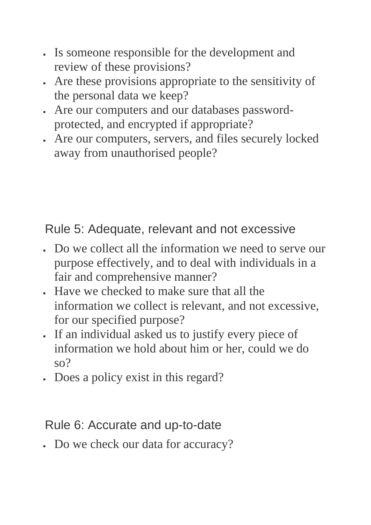- Is someone responsible for the development and review of these provisions?
- Are these provisions appropriate to the sensitivity of the personal data we keep?
- Are our computers and our databases passwordprotected, and encrypted if appropriate?
- Are our computers, servers, and files securely locked away from unauthorised people?

Rule 5: Adequate, relevant and not excessive

- Do we collect all the information we need to serve our purpose effectively, and to deal with individuals in a fair and comprehensive manner?
- Have we checked to make sure that all the information we collect is relevant, and not excessive, for our specified purpose?
- If an individual asked us to justify every piece of information we hold about him or her, could we do so?
- Does a policy exist in this regard?

#### Rule 6: Accurate and up-to-date

• Do we check our data for accuracy?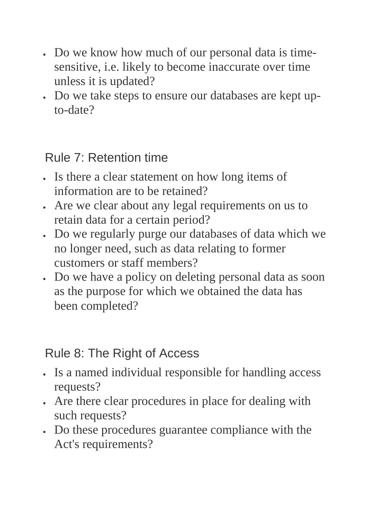- Do we know how much of our personal data is timesensitive, i.e. likely to become inaccurate over time unless it is updated?
- Do we take steps to ensure our databases are kept upto-date?

### Rule 7: Retention time

- Is there a clear statement on how long items of information are to be retained?
- Are we clear about any legal requirements on us to retain data for a certain period?
- Do we regularly purge our databases of data which we no longer need, such as data relating to former customers or staff members?
- Do we have a policy on deleting personal data as soon as the purpose for which we obtained the data has been completed?

### Rule 8: The Right of Access

- Is a named individual responsible for handling access requests?
- Are there clear procedures in place for dealing with such requests?
- Do these procedures guarantee compliance with the Act's requirements?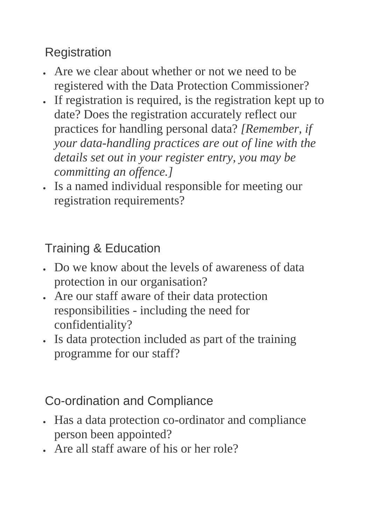## **Registration**

- Are we clear about whether or not we need to be registered with the Data Protection Commissioner?
- If registration is required, is the registration kept up to date? Does the registration accurately reflect our practices for handling personal data? *[Remember, if your data-handling practices are out of line with the details set out in your register entry, you may be committing an offence.]*
- Is a named individual responsible for meeting our registration requirements?

Training & Education

- Do we know about the levels of awareness of data protection in our organisation?
- Are our staff aware of their data protection responsibilities - including the need for confidentiality?
- Is data protection included as part of the training programme for our staff?

## Co-ordination and Compliance

- Has a data protection co-ordinator and compliance person been appointed?
- Are all staff aware of his or her role?